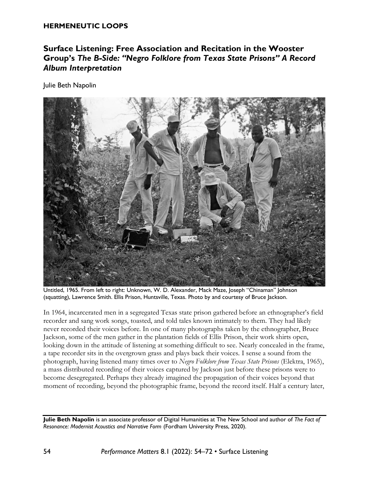#### **HERMENEUTIC LOOPS**

# **Surface Listening: Free Association and Recitation in the Wooster Group's** *The B-Side: "Negro Folklore from Texas State Prisons" A Record Album Interpretation*

Julie Beth Napolin



Untitled, 1965. From left to right: Unknown, W. D. Alexander, Mack Maze, Joseph "Chinaman" Johnson (squatting), Lawrence Smith. Ellis Prison, Huntsville, Texas. Photo by and courtesy of Bruce Jackson.

In 1964, incarcerated men in a segregated Texas state prison gathered before an ethnographer's field recorder and sang work songs, toasted, and told tales known intimately to them. They had likely never recorded their voices before. In one of many photographs taken by the ethnographer, Bruce Jackson, some of the men gather in the plantation fields of Ellis Prison, their work shirts open, looking down in the attitude of listening at something difficult to see. Nearly concealed in the frame, a tape recorder sits in the overgrown grass and plays back their voices. I sense a sound from the photograph, having listened many times over to *Negro Folklore from Texas State Prisons* (Elektra, 1965), a mass distributed recording of their voices captured by Jackson just before these prisons were to become desegregated. Perhaps they already imagined the propagation of their voices beyond that moment of recording, beyond the photographic frame, beyond the record itself. Half a century later,

**Julie Beth Napolin** is an associate professor of Digital Humanities at The New School and author of *The Fact of Resonance: Modernist Acoustics and Narrative Form* (Fordham University Press, 2020).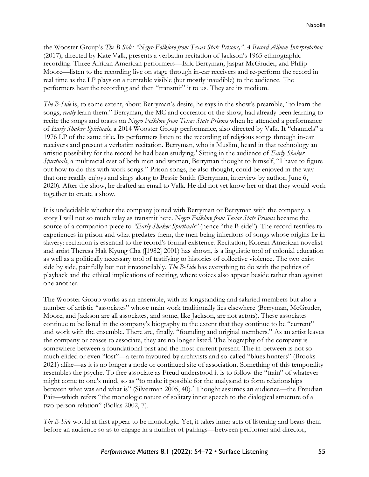the Wooster Group's *The B-Side: "Negro Folklore from Texas State Prisons," A Record Album Interpretation* (2017), directed by Kate Valk, presents a verbatim recitation of Jackson's 1965 ethnographic recording. Three African American performers—Eric Berryman, Jaspar McGruder, and Philip Moore—listen to the recording live on stage through in-ear receivers and re-perform the record in real time as the LP plays on a turntable visible (but mostly inaudible) to the audience. The performers hear the recording and then "transmit" it to us. They are its medium.

*The B-Side* is, to some extent, about Berryman's desire, he says in the show's preamble, "to learn the songs, *really* learn them." Berryman, the MC and cocreator of the show, had already been learning to recite the songs and toasts on *Negro Folklore from Texas State Prisons* when he attended a performance of *Early Shaker Spirituals*, a 2014 Wooster Group performance, also directed by Valk. It "channels" a 1976 LP of the same title. Its performers listen to the recording of religious songs through in-ear receivers and present a verbatim recitation. Berryman, who is Muslim, heard in that technology an artistic possibility for the record he had been studying.<sup>1</sup> Sitting in the audience of *Early Shaker Spirituals*, a multiracial cast of both men and women, Berryman thought to himself, "I have to figure out how to do this with work songs." Prison songs, he also thought, could be enjoyed in the way that one readily enjoys and sings along to Bessie Smith (Berryman, interview by author, June 6, 2020). After the show, he drafted an email to Valk. He did not yet know her or that they would work together to create a show.

It is undecidable whether the company joined with Berryman or Berryman with the company, a story I will not so much relay as transmit here. *Negro Folklore from Texas State Prisons* became the source of a companion piece to *"Early Shaker Spirituals"* (hence "the B-side"). The record testifies to experiences in prison and what predates them, the men being inheritors of songs whose origins lie in slavery: recitation is essential to the record's formal existence. Recitation, Korean American novelist and artist Theresa Hak Kyung Cha ([1982] 2001) has shown, is a linguistic tool of colonial education as well as a politically necessary tool of testifying to histories of collective violence. The two exist side by side, painfully but not irreconcilably. *The B-Side* has everything to do with the politics of playback and the ethical implications of reciting, where voices also appear beside rather than against one another.

The Wooster Group works as an ensemble, with its longstanding and salaried members but also a number of artistic "associates" whose main work traditionally lies elsewhere (Berryman, McGruder, Moore, and Jackson are all associates, and some, like Jackson, are not actors). These associates continue to be listed in the company's biography to the extent that they continue to be "current" and work with the ensemble. There are, finally, "founding and original members." As an artist leaves the company or ceases to associate, they are no longer listed. The biography of the company is somewhere between a foundational past and the most-current present. The in-between is not so much elided or even "lost"—a term favoured by archivists and so-called "blues hunters" (Brooks 2021) alike—as it is no longer a node or continued site of association. Something of this temporality resembles the psyche. To free associate as Freud understood it is to follow the "train" of whatever might come to one's mind, so as "to make it possible for the analysand to form relationships between what was and what is" (Silverman 2005, 40).<sup>2</sup> Thought assumes an audience—the Freudian Pair—which refers "the monologic nature of solitary inner speech to the dialogical structure of a two-person relation" (Bollas 2002, 7).

*The B-Side* would at first appear to be monologic. Yet, it takes inner acts of listening and bears them before an audience so as to engage in a number of pairings—between performer and director,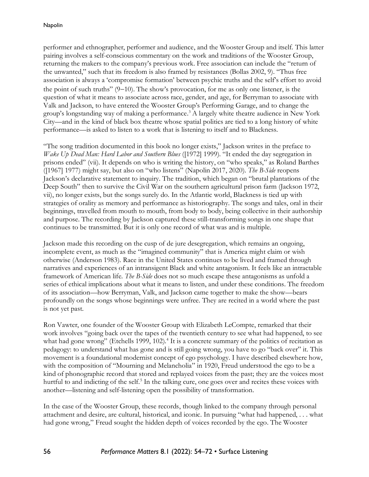performer and ethnographer, performer and audience, and the Wooster Group and itself. This latter pairing involves a self-conscious commentary on the work and traditions of the Wooster Group, returning the makers to the company's previous work. Free association can include the "return of the unwanted," such that its freedom is also framed by resistances (Bollas 2002, 9). "Thus free association is always a 'compromise formation' between psychic truths and the self's effort to avoid the point of such truths" (9−10). The show's provocation, for me as only one listener, is the question of what it means to associate across race, gender, and age, for Berryman to associate with Valk and Jackson, to have entered the Wooster Group's Performing Garage, and to change the group's longstanding way of making a performance. <sup>3</sup> A largely white theatre audience in New York City—and in the kind of black box theatre whose spatial politics are tied to a long history of white performance—is asked to listen to a work that is listening to itself and to Blackness.

"The song tradition documented in this book no longer exists," Jackson writes in the preface to *Wake Up Dead Man: Hard Labor and Southern Blues* ([1972] 1999). "It ended the day segregation in prisons ended" (vii). It depends on who is writing the history, on "who speaks," as Roland Barthes ([1967] 1977) might say, but also on "who listens" (Napolin 2017, 2020). *The B-Side* reopens Jackson's declarative statement to inquiry. The tradition, which began on "brutal plantations of the Deep South" then to survive the Civil War on the southern agricultural prison farm (Jackson 1972, vii), no longer exists, but the songs surely do. In the Atlantic world, Blackness is tied up with strategies of orality as memory and performance as historiography. The songs and tales, oral in their beginnings, travelled from mouth to mouth, from body to body, being collective in their authorship and purpose. The recording by Jackson captured these still-transforming songs in one shape that continues to be transmitted. But it is only one record of what was and is multiple.

Jackson made this recording on the cusp of de jure desegregation, which remains an ongoing, incomplete event, as much as the "imagined community" that is America might claim or wish otherwise (Anderson 1983). Race in the United States continues to be lived and framed through narratives and experiences of an intransigent Black and white antagonism. It feels like an intractable framework of American life. *The B-Side* does not so much escape these antagonisms as unfold a series of ethical implications about what it means to listen, and under these conditions. The freedom of its association—how Berryman, Valk, and Jackson came together to make the show—bears profoundly on the songs whose beginnings were unfree. They are recited in a world where the past is not yet past.

Ron Vawter, one founder of the Wooster Group with Elizabeth LeCompte, remarked that their work involves "going back over the tapes of the twentieth century to see what had happened, to see what had gone wrong" (Etchells 1999, 102).<sup>4</sup> It is a concrete summary of the politics of recitation as pedagogy: to understand what has gone and is still going wrong, you have to go "back over" it. This movement is a foundational modernist concept of ego psychology. I have described elsewhere how, with the composition of "Mourning and Melancholia" in 1920, Freud understood the ego to be a kind of phonographic record that stored and replayed voices from the past; they are the voices most hurtful to and indicting of the self.<sup>5</sup> In the talking cure, one goes over and recites these voices with another—listening and self-listening open the possibility of transformation.

In the case of the Wooster Group, these records, though linked to the company through personal attachment and desire, are cultural, historical, and iconic. In pursuing "what had happened, . . . what had gone wrong," Freud sought the hidden depth of voices recorded by the ego. The Wooster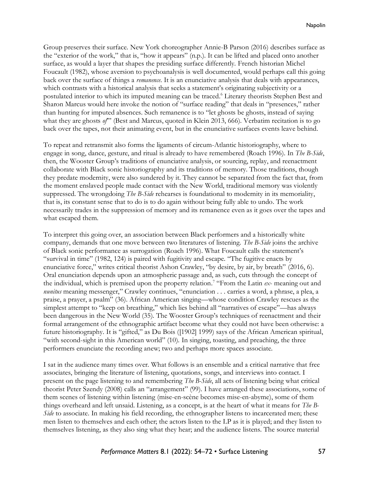Group preserves their surface. New York choreographer Annie-B Parson (2016) describes surface as the "exterior of the work," that is, "how it appears" (n.p.). It can be lifted and placed onto another surface, as would a layer that shapes the presiding surface differently. French historian Michel Foucault (1982), whose aversion to psychoanalysis is well documented, would perhaps call this going back over the surface of things a *remanence*. It is an enunciative analysis that deals with appearances, which contrasts with a historical analysis that seeks a statement's originating subjectivity or a postulated interior to which its imputed meaning can be traced. <sup>6</sup> Literary theorists Stephen Best and Sharon Marcus would here invoke the notion of "surface reading" that deals in "presences," rather than hunting for imputed absences. Such remanence is to "let ghosts be ghosts, instead of saying what they are ghosts *of*" (Best and Marcus, quoted in Klein 2013, 666). Verbatim recitation is to go back over the tapes, not their animating event, but in the enunciative surfaces events leave behind.

To repeat and retransmit also forms the ligaments of circum-Atlantic historiography, where to engage in song, dance, gesture, and ritual is already to have remembered (Roach 1996). In *The B-Side*, then, the Wooster Group's traditions of enunciative analysis, or sourcing, replay, and reenactment collaborate with Black sonic historiography and its traditions of memory. Those traditions, though they predate modernity, were also sundered by it. They cannot be separated from the fact that, from the moment enslaved people made contact with the New World, traditional memory was violently suppressed. The wrongdoing *The B-Side* rehearses is foundational to modernity in its memoriality, that is, its constant sense that to do is to do again without being fully able to undo. The work necessarily trades in the suppression of memory and its remanence even as it goes over the tapes and what escaped them.

To interpret this going over, an association between Black performers and a historically white company, demands that one move between two literatures of listening. *The B-Side* joins the archive of Black sonic performance as surrogation (Roach 1996). What Foucault calls the statement's "survival in time" (1982, 124) is paired with fugitivity and escape. "The fugitive enacts by enunciative force," writes critical theorist Ashon Crawley, "by desire, by air, by breath" (2016, 6). Oral enunciation depends upon an atmospheric passage and, as such, cuts through the concept of the individual, which is premised upon the property relation. 7 "From the Latin *ex*- meaning out and *nunitus* meaning messenger," Crawley continues, "enunciation . . . carries a word, a phrase, a plea, a praise, a prayer, a psalm" (36). African American singing—whose condition Crawley rescues as the simplest attempt to "keep on breathing," which lies behind all "narratives of escape"—has always been dangerous in the New World (35). The Wooster Group's techniques of reenactment and their formal arrangement of the ethnographic artifact become what they could not have been otherwise: a future historiography. It is "gifted," as Du Bois ([1902] 1999) says of the African American spiritual, "with second-sight in this American world" (10). In singing, toasting, and preaching, the three performers enunciate the recording anew; two and perhaps more spaces associate.

I sat in the audience many times over. What follows is an ensemble and a critical narrative that free associates, bringing the literature of listening, quotations, songs, and interviews into contact. I present on the page listening to and remembering *The B-Side*, all acts of listening being what critical theorist Peter Szendy (2008) calls an "arrangement" (99). I have arranged these associations, some of them scenes of listening within listening (mise-en-scène becomes mise-en-abyme), some of them things overheard and left unsaid. Listening, as a concept, is at the heart of what it means for *The B-Side* to associate. In making his field recording, the ethnographer listens to incarcerated men; these men listen to themselves and each other; the actors listen to the LP as it is played; and they listen to themselves listening, as they also sing what they hear; and the audience listens. The source material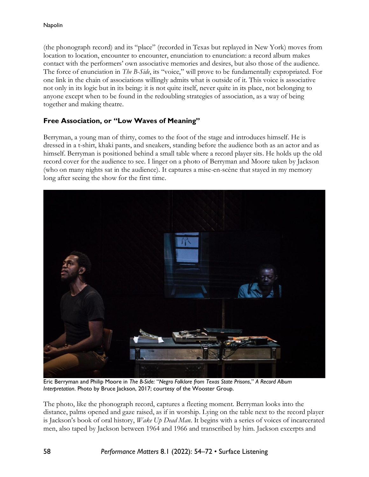(the phonograph record) and its "place" (recorded in Texas but replayed in New York) moves from location to location, encounter to encounter, enunciation to enunciation: a record album makes contact with the performers' own associative memories and desires, but also those of the audience. The force of enunciation in *The B-Side*, its "voice," will prove to be fundamentally expropriated. For one link in the chain of associations willingly admits what is outside of it. This voice is associative not only in its logic but in its being: it is not quite itself, never quite in its place, not belonging to anyone except when to be found in the redoubling strategies of association, as a way of being together and making theatre.

## **Free Association, or "Low Waves of Meaning"**

Berryman, a young man of thirty, comes to the foot of the stage and introduces himself. He is dressed in a t-shirt, khaki pants, and sneakers, standing before the audience both as an actor and as himself. Berryman is positioned behind a small table where a record player sits. He holds up the old record cover for the audience to see. I linger on a photo of Berryman and Moore taken by Jackson (who on many nights sat in the audience). It captures a mise-en-scène that stayed in my memory long after seeing the show for the first time.



Eric Berryman and Philip Moore in *The B-Side:* "*Negro Folklore from Texas State Prisons*," *A Record Album Interpretation*. Photo by Bruce Jackson, 2017; courtesy of the Wooster Group.

The photo, like the phonograph record, captures a fleeting moment. Berryman looks into the distance, palms opened and gaze raised, as if in worship. Lying on the table next to the record player is Jackson's book of oral history, *Wake Up Dead Man*. It begins with a series of voices of incarcerated men, also taped by Jackson between 1964 and 1966 and transcribed by him. Jackson excerpts and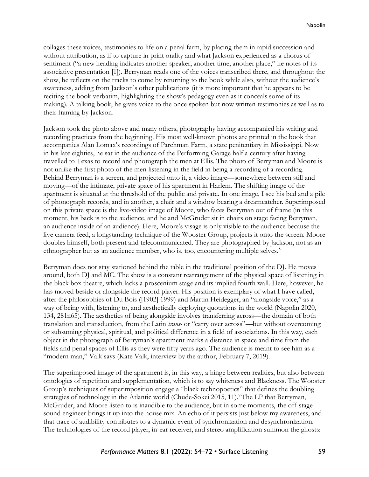collages these voices, testimonies to life on a penal farm, by placing them in rapid succession and without attribution, as if to capture in print orality and what Jackson experienced as a chorus of sentiment ("a new heading indicates another speaker, another time, another place," he notes of its associative presentation [1]). Berryman reads one of the voices transcribed there, and throughout the show, he reflects on the tracks to come by returning to the book while also, without the audience's awareness, adding from Jackson's other publications (it is more important that he appears to be reciting the book verbatim, highlighting the show's pedagogy even as it conceals some of its making). A talking book, he gives voice to the once spoken but now written testimonies as well as to their framing by Jackson.

Jackson took the photo above and many others, photography having accompanied his writing and recording practices from the beginning. His most well-known photos are printed in the book that accompanies Alan Lomax's recordings of Parchman Farm, a state penitentiary in Mississippi. Now in his late eighties, he sat in the audience of the Performing Garage half a century after having travelled to Texas to record and photograph the men at Ellis. The photo of Berryman and Moore is not unlike the first photo of the men listening in the field in being a recording of a recording. Behind Berryman is a screen, and projected onto it, a video image—somewhere between still and moving—of the intimate, private space of his apartment in Harlem. The shifting image of the apartment is situated at the threshold of the public and private. In one image, I see his bed and a pile of phonograph records, and in another, a chair and a window bearing a dreamcatcher. Superimposed on this private space is the live-video image of Moore, who faces Berryman out of frame (in this moment, his back is to the audience, and he and McGruder sit in chairs on stage facing Berryman, an audience inside of an audience). Here, Moore's visage is only visible to the audience because the live camera feed, a longstanding technique of the Wooster Group, projects it onto the screen. Moore doubles himself, both present and telecommunicated. They are photographed by Jackson, not as an ethnographer but as an audience member, who is, too, encountering multiple selves.<sup>8</sup>

Berryman does not stay stationed behind the table in the traditional position of the DJ. He moves around, both DJ and MC. The show is a constant rearrangement of the physical space of listening in the black box theatre, which lacks a proscenium stage and its implied fourth wall. Here, however, he has moved beside or alongside the record player. His position is exemplary of what I have called, after the philosophies of Du Bois ([1902] 1999) and Martin Heidegger, an "alongside voice," as a way of being with, listening to, and aesthetically deploying quotations in the world (Napolin 2020, 134, 281n65). The aesthetics of being alongside involves transferring across—the domain of both translation and transduction, from the Latin *trans-* or "carry over across"—but without overcoming or subsuming physical, spiritual, and political difference in a field of associations. In this way, each object in the photograph of Berryman's apartment marks a distance in space and time from the fields and penal spaces of Ellis as they were fifty years ago. The audience is meant to see him as a "modern man," Valk says (Kate Valk, interview by the author, February 7, 2019).

The superimposed image of the apartment is, in this way, a hinge between realities, but also between ontologies of repetition and supplementation, which is to say whiteness and Blackness. The Wooster Group's techniques of superimposition engage a "black technopoetics" that defines the doubling strategies of technology in the Atlantic world (Chude-Sokei 2015, 11).<sup>9</sup>The LP that Berryman, McGruder, and Moore listen to is inaudible to the audience, but in some moments, the off-stage sound engineer brings it up into the house mix. An echo of it persists just below my awareness, and that trace of audibility contributes to a dynamic event of synchronization and desynchronization. The technologies of the record player, in-ear receiver, and stereo amplification summon the ghosts: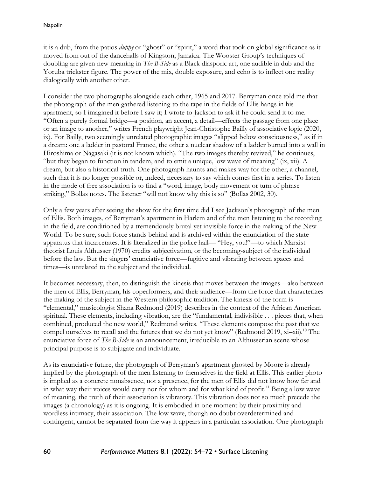it is a dub, from the patios *duppy* or "ghost" or "spirit," a word that took on global significance as it moved from out of the dancehalls of Kingston, Jamaica. The Wooster Group's techniques of doubling are given new meaning in *The B-Side* as a Black diasporic art, one audible in dub and the Yoruba trickster figure. The power of the mix, double exposure, and echo is to inflect one reality dialogically with another other.

I consider the two photographs alongside each other, 1965 and 2017. Berryman once told me that the photograph of the men gathered listening to the tape in the fields of Ellis hangs in his apartment, so I imagined it before I saw it; I wrote to Jackson to ask if he could send it to me. "Often a purely formal bridge—a position, an accent, a detail—effects the passage from one place or an image to another," writes French playwright Jean-Christophe Bailly of associative logic (2020, ix). For Bailly, two seemingly unrelated photographic images "slipped below consciousness," as if in a dream: one a ladder in pastoral France, the other a nuclear shadow of a ladder burned into a wall in Hiroshima or Nagasaki (it is not known which). "The two images thereby revived," he continues, "but they began to function in tandem, and to emit a unique, low wave of meaning" (ix, xii). A dream, but also a historical truth. One photograph haunts and makes way for the other, a channel, such that it is no longer possible or, indeed, necessary to say which comes first in a series. To listen in the mode of free association is to find a "word, image, body movement or turn of phrase striking," Bollas notes. The listener "will not know why this is so" (Bollas 2002, 30).

Only a few years after seeing the show for the first time did I see Jackson's photograph of the men of Ellis. Both images, of Berryman's apartment in Harlem and of the men listening to the recording in the field, are conditioned by a tremendously brutal yet invisible force in the making of the New World. To be sure, such force stands behind and is archived within the enunciation of the state apparatus that incarcerates. It is literalized in the police hail— "Hey, you!"—to which Marxist theorist Louis Althusser (1970) credits subjectivation, or the becoming-subject of the individual before the law. But the singers' enunciative force—fugitive and vibrating between spaces and times—is unrelated to the subject and the individual.

It becomes necessary, then, to distinguish the kinesis that moves between the images—also between the men of Ellis, Berryman, his coperformers, and their audience—from the force that characterizes the making of the subject in the Western philosophic tradition. The kinesis of the form is "elemental," musicologist Shana Redmond (2019) describes in the context of the African American spiritual. These elements, including vibration, are the "fundamental, indivisible . . . pieces that, when combined, produced the new world," Redmond writes. "These elements compose the past that we compel ourselves to recall and the futures that we do not yet know" (Redmond 2019,  $xi$ –xii).<sup>10</sup> The enunciative force of *The B-Side* is an announcement, irreducible to an Althusserian scene whose principal purpose is to subjugate and individuate.

As its enunciative future, the photograph of Berryman's apartment ghosted by Moore is already implied by the photograph of the men listening to themselves in the field at Ellis. This earlier photo is implied as a concrete nonabsence, not a presence, for the men of Ellis did not know how far and in what way their voices would carry nor for whom and for what kind of profit. <sup>11</sup> Being a low wave of meaning, the truth of their association is vibratory. This vibration does not so much precede the images (a chronology) as it is ongoing. It is embodied in one moment by their proximity and wordless intimacy, their association. The low wave, though no doubt overdetermined and contingent, cannot be separated from the way it appears in a particular association. One photograph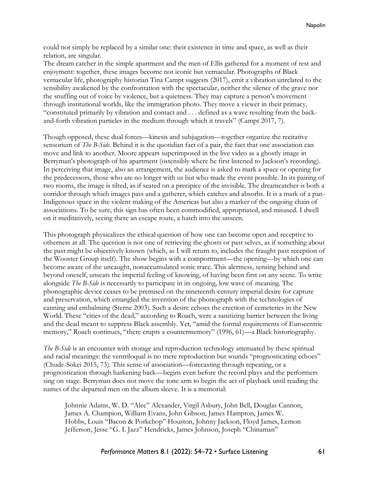could not simply be replaced by a similar one: their existence in time and space, as well as their relation, are singular.

The dream catcher in the simple apartment and the men of Ellis gathered for a moment of rest and enjoyment: together, these images become not iconic but vernacular. Photographs of Black vernacular life, photography historian Tina Campt suggests (2017), emit a vibration unrelated to the sensibility awakened by the confrontation with the spectacular, neither the silence of the grave nor the snuffing out of voice by violence, but a quietness. They may capture a person's movement through institutional worlds, like the immigration photo. They move a viewer in their primacy, "constituted primarily by vibration and contact and . . . defined as a wave resulting from the backand-forth vibration particles in the medium through which it travels" (Campt 2017, 7).

Though opposed, these dual forces—kinesis and subjugation—together organize the recitative sensorium of *The B-Side*. Behind it is the quotidian fact of a pair, the fact that one association can move and link to another. Moore appears superimposed in the live video as a ghostly image in Berryman's photograph of his apartment (ostensibly where he first listened to Jackson's recording). In perceiving that image, also an arrangement, the audience is asked to mark a space or opening for the predecessors, those who are no longer with us but who made the event possible. In its pairing of two rooms, the image is tilted, as if seated on a precipice of the invisible. The dreamcatcher is both a corridor through which images pass and a gatherer, which catches and absorbs. It is a mark of a pan-Indigenous space in the violent making of the Americas but also a marker of the ongoing chain of associations. To be sure, this sign has often been commodified, appropriated, and misused. I dwell on it meditatively, seeing there an escape route, a hatch into the unseen.

This photograph physicalizes the ethical question of how one can become open and receptive to otherness at all. The question is not one of retrieving the ghosts or past selves, as if something about the past might be objectively known (which, as I will return to, includes the fraught past reception of the Wooster Group itself). The show begins with a comportment—the opening—by which one can become aware of the uncaught, nonaccumulated sonic trace. This alertness, sensing behind and beyond oneself, unseats the imperial feeling of knowing, of having been first on any scene. To write alongside *The B-Side* is necessarily to participate in its ongoing, low wave of meaning. The phonographic device ceases to be premised on the nineteenth-century imperial desire for capture and preservation, which entangled the invention of the phonograph with the technologies of canning and embalming (Sterne 2003). Such a desire echoes the erection of cemeteries in the New World. These "cities of the dead," according to Roach, were a sanitizing barrier between the living and the dead meant to suppress Black assembly. Yet, "amid the formal requirements of Eurocentric memory," Roach continues, "there erupts a countermemory" (1996, 61)—a Black historiography.

*The B-Side* is an encounter with storage and reproduction technology attenuated by these spiritual and racial meanings: the ventriloqual is no mere reproduction but sounds "prognosticating echoes" (Chude-Sokei 2015, 73). This sense of association—forecasting through repeating, or a prognostication through harkening back—begins even before the record plays and the performers sing on stage. Berryman does not move the tone arm to begin the act of playback until reading the names of the departed men on the album sleeve. It is a memorial:

Johnnie Adams, W. D. "Alec" Alexander, Virgil Asbury, John Bell, Douglas Cannon, James A. Champion, William Evans, John Gibson, James Hampton, James W. Hobbs, Louis "Bacon & Porkchop" Houston, Johnny Jackson, Floyd James, Lemon Jefferson, Jesse "G. I. Jazz" Hendricks, James Johnson, Joseph "Chinaman"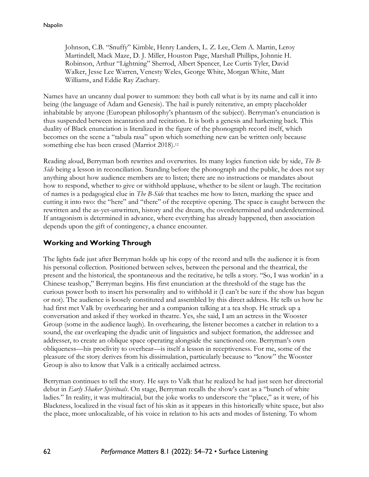Johnson, C.B. "Snuffy" Kimble, Henry Landers, L. Z. Lee, Clem A. Martin, Leroy Martindell, Mack Maze, D. J. Miller, Houston Page, Marshall Phillips, Johnnie H. Robinson, Arthur "Lightning" Sherrod, Albert Spencer, Lee Curtis Tyler, David Walker, Jesse Lee Warren, Venesty Weles, George White, Morgan White, Matt Williams, and Eddie Ray Zachary.

Names have an uncanny dual power to summon: they both call what is by its name and call it into being (the language of Adam and Genesis). The hail is purely reiterative, an empty placeholder inhabitable by anyone (European philosophy's phantasm of the subject). Berryman's enunciation is thus suspended between incantation and recitation. It is both a genesis and harkening back. This duality of Black enunciation is literalized in the figure of the phonograph record itself, which becomes on the scene a "tabula rasa" upon which something new can be written only because something else has been erased (Marriot 2018). 12

Reading aloud, Berryman both rewrites and overwrites. Its many logics function side by side, *The B-Side* being a lesson in reconciliation. Standing before the phonograph and the public, he does not say anything about how audience members are to listen; there are no instructions or mandates about how to respond, whether to give or withhold applause, whether to be silent or laugh. The recitation of names is a pedagogical clue in *The B-Side* that teaches me how to listen, marking the space and cutting it into two: the "here" and "there" of the receptive opening. The space is caught between the rewritten and the as-yet-unwritten, history and the dream, the overdetermined and underdetermined. If antagonism is determined in advance, where everything has already happened, then association depends upon the gift of contingency, a chance encounter.

## **Working and Working Through**

The lights fade just after Berryman holds up his copy of the record and tells the audience it is from his personal collection. Positioned between selves, between the personal and the theatrical, the present and the historical, the spontaneous and the recitative, he tells a story. "So, I was workin' in a Chinese teashop," Berryman begins. His first enunciation at the threshold of the stage has the curious power both to insert his personality and to withhold it (I can't be sure if the show has begun or not). The audience is loosely constituted and assembled by this direct address. He tells us how he had first met Valk by overhearing her and a companion talking at a tea shop. He struck up a conversation and asked if they worked in theatre. Yes, she said, I am an actress in the Wooster Group (some in the audience laugh). In overhearing, the listener becomes a catcher in relation to a sound, the ear overleaping the dyadic unit of linguistics and subject formation, the addressee and addresser, to create an oblique space operating alongside the sanctioned one. Berryman's own obliqueness—his proclivity to overhear—is itself a lesson in receptiveness. For me, some of the pleasure of the story derives from his dissimulation, particularly because to "know" the Wooster Group is also to know that Valk is a critically acclaimed actress.

Berryman continues to tell the story. He says to Valk that he realized he had just seen her directorial debut in *Early Shaker Spirituals*. On stage, Berryman recalls the show's cast as a "bunch of white ladies." In reality, it was multiracial, but the joke works to underscore the "place," as it were, of his Blackness, localized in the visual fact of his skin as it appears in this historically white space, but also the place, more unlocalizable, of his voice in relation to his acts and modes of listening. To whom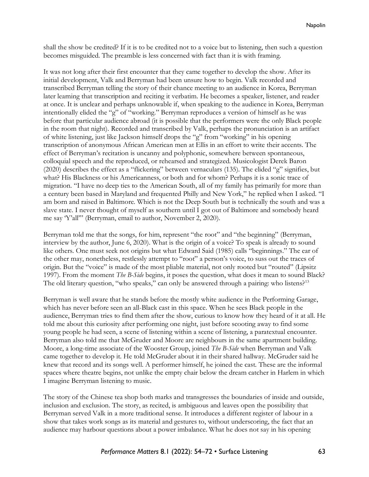shall the show be credited? If it is to be credited not to a voice but to listening, then such a question becomes misguided. The preamble is less concerned with fact than it is with framing.

It was not long after their first encounter that they came together to develop the show. After its initial development, Valk and Berryman had been unsure how to begin. Valk recorded and transcribed Berryman telling the story of their chance meeting to an audience in Korea, Berryman later learning that transcription and reciting it verbatim. He becomes a speaker, listener, and reader at once. It is unclear and perhaps unknowable if, when speaking to the audience in Korea, Berryman intentionally elided the "g" of "working." Berryman reproduces a version of himself as he was before that particular audience abroad (it is possible that the performers were the only Black people in the room that night). Recorded and transcribed by Valk, perhaps the pronunciation is an artifact of white listening, just like Jackson himself drops the "g" from "working" in his opening transcription of anonymous African American men at Ellis in an effort to write their accents. The effect of Berryman's recitation is uncanny and polyphonic, somewhere between spontaneous, colloquial speech and the reproduced, or rehearsed and strategized. Musicologist Derek Baron (2020) describes the effect as a "flickering" between vernaculars (135). The elided "g" signifies, but what? His Blackness or his Americanness, or both and for whom? Perhaps it is a sonic trace of migration. "I have no deep ties to the American South, all of my family has primarily for more than a century been based in Maryland and frequented Philly and New York," he replied when I asked. "I am born and raised in Baltimore. Which is not the Deep South but is technically the south and was a slave state. I never thought of myself as southern until I got out of Baltimore and somebody heard me say 'Y'all'" (Berryman, email to author, November 2, 2020).

Berryman told me that the songs, for him, represent "the root" and "the beginning" (Berryman, interview by the author, June 6, 2020). What is the origin of a voice? To speak is already to sound like others. One must seek not origins but what Edward Said (1985) calls "beginnings." The ear of the other may, nonetheless, restlessly attempt to "root" a person's voice, to suss out the traces of origin. But the "voice" is made of the most pliable material, not only rooted but "routed" (Lipsitz 1997). From the moment *The B-Side* begins, it poses the question, what does it mean to sound Black? The old literary question, "who speaks," can only be answered through a pairing: who listens?<sup>13</sup>

Berryman is well aware that he stands before the mostly white audience in the Performing Garage, which has never before seen an all-Black cast in this space. When he sees Black people in the audience, Berryman tries to find them after the show, curious to know how they heard of it at all. He told me about this curiosity after performing one night, just before scooting away to find some young people he had seen, a scene of listening within a scene of listening, a paratextual encounter. Berryman also told me that McGruder and Moore are neighbours in the same apartment building. Moore, a long-time associate of the Wooster Group, joined *The B-Side* when Berryman and Valk came together to develop it. He told McGruder about it in their shared hallway. McGruder said he knew that record and its songs well. A performer himself, he joined the cast. These are the informal spaces where theatre begins, not unlike the empty chair below the dream catcher in Harlem in which I imagine Berryman listening to music.

The story of the Chinese tea shop both marks and transgresses the boundaries of inside and outside, inclusion and exclusion. The story, as recited, is ambiguous and leaves open the possibility that Berryman served Valk in a more traditional sense. It introduces a different register of labour in a show that takes work songs as its material and gestures to, without underscoring, the fact that an audience may harbour questions about a power imbalance. What he does not say in his opening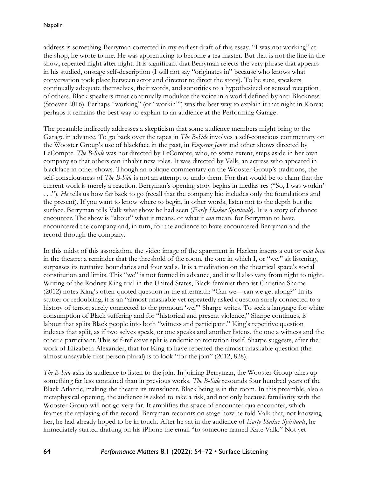address is something Berryman corrected in my earliest draft of this essay. "I was not working" at the shop, he wrote to me. He was apprenticing to become a tea master. But that is not the line in the show, repeated night after night. It is significant that Berryman rejects the very phrase that appears in his studied, onstage self-description (I will not say "originates in" because who knows what conversation took place between actor and director to direct the story). To be sure, speakers continually adequate themselves, their words, and sonorities to a hypothesized or sensed reception of others. Black speakers must continually modulate the voice in a world defined by anti-Blackness (Stoever 2016). Perhaps "working" (or "workin'") was the best way to explain it that night in Korea; perhaps it remains the best way to explain to an audience at the Performing Garage.

The preamble indirectly addresses a skepticism that some audience members might bring to the Garage in advance. To go back over the tapes in *The B-Side* involves a self-conscious commentary on the Wooster Group's use of blackface in the past, in *Emperor Jones* and other shows directed by LeCompte. *The B-Side* was not directed by LeCompte, who, to some extent, steps aside in her own company so that others can inhabit new roles. It was directed by Valk, an actress who appeared in blackface in other shows. Though an oblique commentary on the Wooster Group's traditions, the self-consciousness of *The B-Side* is not an attempt to undo them. For that would be to claim that the current work is merely a reaction. Berryman's opening story begins in medias res ("So, I was workin' . . ."). *He* tells us how far back to go (recall that the company bio includes only the foundations and the present). If you want to know where to begin, in other words, listen not to the depth but the surface. Berryman tells Valk what show he had seen (*Early Shaker Spirituals*). It is a story of chance encounter. The show is "about" what it means, or what it *can* mean, for Berryman to have encountered the company and, in turn, for the audience to have encountered Berryman and the record through the company.

In this midst of this association, the video image of the apartment in Harlem inserts a cut or *nota bene* in the theatre: a reminder that the threshold of the room, the one in which I, or "we," sit listening, surpasses its tentative boundaries and four walls. It is a meditation on the theatrical space's social constitution and limits. This "we" is not formed in advance, and it will also vary from night to night. Writing of the Rodney King trial in the United States, Black feminist theorist Christina Sharpe (2012) notes King's often-quoted question in the aftermath: "Can we—can we get along?" In its stutter or redoubling, it is an "almost unaskable yet repeatedly asked question surely connected to a history of terror; surely connected to the pronoun 'we,'" Sharpe writes. To seek a language for white consumption of Black suffering and for "historical and present violence," Sharpe continues, is labour that splits Black people into both "witness and participant." King's repetitive question indexes that split, as if two selves speak, or one speaks and another listens, the one a witness and the other a participant. This self-reflexive split is endemic to recitation itself. Sharpe suggests, after the work of Elizabeth Alexander, that for King to have repeated the almost unaskable question (the almost unsayable first-person plural) is to look "for the join" (2012, 828).

*The B-Side* asks its audience to listen to the join. In joining Berryman, the Wooster Group takes up something far less contained than in previous works. *The B-Side* resounds four hundred years of the Black Atlantic, making the theatre its transducer. Black being is in the room. In this preamble, also a metaphysical opening, the audience is asked to take a risk, and not only because familiarity with the Wooster Group will not go very far. It amplifies the space of encounter qua encounter, which frames the replaying of the record. Berryman recounts on stage how he told Valk that, not knowing her, he had already hoped to be in touch. After he sat in the audience of *Early Shaker Spirituals*, he immediately started drafting on his iPhone the email "to someone named Kate Valk." Not yet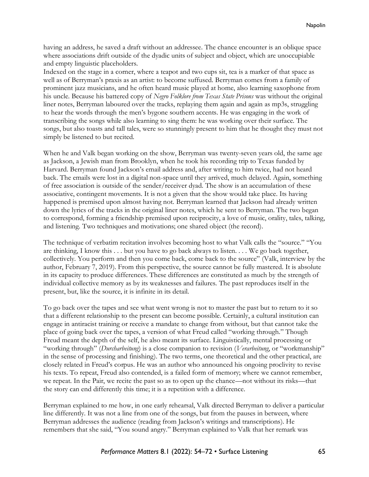having an address, he saved a draft without an addressee. The chance encounter is an oblique space where associations drift outside of the dyadic units of subject and object, which are unoccupiable and empty linguistic placeholders.

Indexed on the stage in a corner, where a teapot and two cups sit, tea is a marker of that space as well as of Berryman's praxis as an artist: to become suffused. Berryman comes from a family of prominent jazz musicians, and he often heard music played at home, also learning saxophone from his uncle. Because his battered copy of *Negro Folklore from Texas State Prisons* was without the original liner notes, Berryman laboured over the tracks, replaying them again and again as mp3s, struggling to hear the words through the men's bygone southern accents. He was engaging in the work of transcribing the songs while also learning to sing them: he was working over their surface. The songs, but also toasts and tall tales, were so stunningly present to him that he thought they must not simply be listened to but recited.

When he and Valk began working on the show, Berryman was twenty-seven years old, the same age as Jackson, a Jewish man from Brooklyn, when he took his recording trip to Texas funded by Harvard. Berryman found Jackson's email address and, after writing to him twice, had not heard back. The emails were lost in a digital non-space until they arrived, much delayed. Again, something of free association is outside of the sender/receiver dyad. The show is an accumulation of these associative, contingent movements. It is not a given that the show would take place. Its having happened is premised upon almost having not. Berryman learned that Jackson had already written down the lyrics of the tracks in the original liner notes, which he sent to Berryman. The two began to correspond, forming a friendship premised upon reciprocity, a love of music, orality, tales, talking, and listening. Two techniques and motivations; one shared object (the record).

The technique of verbatim recitation involves becoming host to what Valk calls the "source." "You are thinking, I know this . . . but you have to go back always to listen. . . . We go back together, collectively. You perform and then you come back, come back to the source" (Valk, interview by the author, February 7, 2019). From this perspective, the source cannot be fully mastered. It is absolute in its capacity to produce differences. These differences are constituted as much by the strength of individual collective memory as by its weaknesses and failures. The past reproduces itself in the present, but, like the source, it is infinite in its detail.

To go back over the tapes and see what went wrong is not to master the past but to return to it so that a different relationship to the present can become possible. Certainly, a cultural institution can engage in antiracist training or receive a mandate to change from without, but that cannot take the place of going back over the tapes, a version of what Freud called "working through." Though Freud meant the depth of the self, he also meant its surface. Linguistically, mental processing or "working through" (*Durcharbeitung*) is a close companion to revision (*Verarbeitung*, or "workmanship" in the sense of processing and finishing). The two terms, one theoretical and the other practical, are closely related in Freud's corpus. He was an author who announced his ongoing proclivity to revise his texts. To repeat, Freud also contended, is a failed form of memory; where we cannot remember, we repeat. In the Pair, we recite the past so as to open up the chance—not without its risks—that the story can end differently this time; it is a repetition with a difference.

Berryman explained to me how, in one early rehearsal, Valk directed Berryman to deliver a particular line differently. It was not a line from one of the songs, but from the pauses in between, where Berryman addresses the audience (reading from Jackson's writings and transcriptions). He remembers that she said, "You sound angry." Berryman explained to Valk that her remark was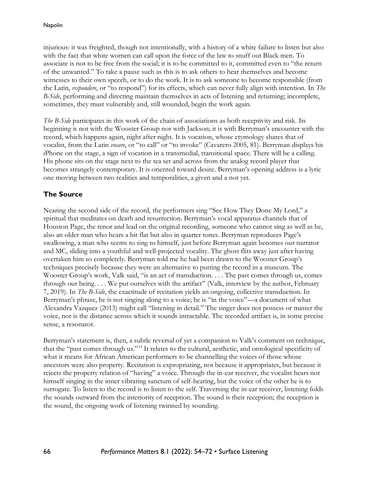injurious: it was freighted, though not intentionally, with a history of a white failure to listen but also with the fact that white women can call upon the force of the law to snuff out Black men. To associate is not to be free from the social; it is to be committed to it, committed even to "the return of the unwanted." To take a pause such as this is to ask others to hear themselves and become witnesses to their own speech, or to do the work. It is to ask someone to become responsible (from the Latin, *respondere*, or "to respond") for its effects, which can never fully align with intention. In *The B-Side*, performing and directing maintain themselves in acts of listening and returning; incomplete, sometimes, they must vulnerably and, still wounded, begin the work again.

*The B-Side* participates in this work of the chain of associations as both receptivity and risk. Its beginning is not with the Wooster Group nor with Jackson; it is with Berryman's encounter with the record, which happens again, night after night. It is vocation, whose etymology shares that of vocalist, from the Latin *vocare*, or "to call" or "to invoke" (Cavarero 2005, 81). Berryman displays his iPhone on the stage, a sign of vocation in a transmedial, transitional space. There will be a calling. His phone sits on the stage next to the tea set and across from the analog record player that becomes strangely contemporary. It is oriented toward desire. Berryman's opening address is a lyric one moving between two realities and temporalities, a given and a not yet.

## **The Source**

Nearing the second side of the record, the performers sing "See How They Done My Lord," a spiritual that meditates on death and resurrection. Berryman's vocal apparatus channels that of Houston Page, the tenor and lead on the original recording, someone who cannot sing as well as he, also an older man who hears a bit flat but also in quarter tones. Berryman reproduces Page's swallowing, a man who seems to sing to himself, just before Berryman again becomes our narrator and MC, sliding into a youthful and well-projected vocality. The ghost flits away just after having overtaken him so completely. Berryman told me he had been drawn to the Wooster Group's techniques precisely because they were an alternative to putting the record in a museum. The Wooster Group's work, Valk said, "is an act of transduction. . . . The past comes through us, comes through our being. . . . We put ourselves with the artifact" (Valk, interview by the author, February 7, 2019). In *The B-Side*, the exactitude of recitation yields an ongoing, collective transduction. In Berryman's phrase, he is not singing along to a voice; he is "in the voice"—a document of what Alexandra Vazquez (2013) might call "listening in detail." The singer does not possess or master the voice, nor is the distance across which it sounds intractable. The recorded artifact is, in some precise sense, a resonator.

Berryman's statement is, then, a subtle reversal of yet a companion to Valk's comment on technique, that the "past comes through us."<sup>14</sup> It relates to the cultural, aesthetic, and ontological specificity of what it means for African American performers to be channelling the voices of those whose ancestors were also property. Recitation is expropriating, not because it appropriates, but because it rejects the property relation of "having" a voice. Through the in-ear receiver, the vocalist hears not himself singing in the inner vibrating sanctum of self-hearing, but the voice of the other he is to surrogate. To listen to the record is to listen to the self. Traversing the in-ear receiver, listening folds the sounds outward from the interiority of reception. The sound is their reception; the reception is the sound, the ongoing work of listening twinned by sounding.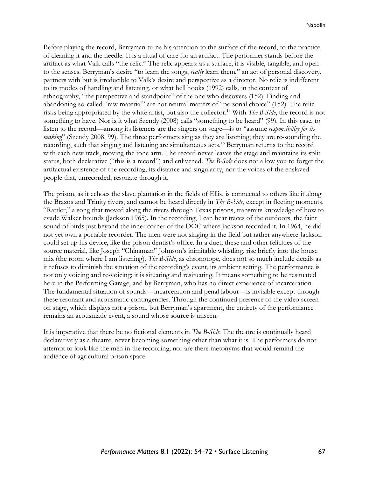Before playing the record, Berryman turns his attention to the surface of the record, to the practice of cleaning it and the needle. It is a ritual of care for an artifact. The performer stands before the artifact as what Valk calls "the relic." The relic appears: as a surface, it is visible, tangible, and open to the senses. Berryman's desire "to learn the songs, *really* learn them," an act of personal discovery, partners with but is irreducible to Valk's desire and perspective as a director. No relic is indifferent to its modes of handling and listening, or what bell hooks (1992) calls, in the context of ethnography, "the perspective and standpoint" of the one who discovers (152). Finding and abandoning so-called "raw material" are not neutral matters of "personal choice" (152). The relic risks being appropriated by the white artist, but also the collector. <sup>15</sup> With *The B-Side*, the record is not something to have. Nor is it what Szendy (2008) calls "something to be heard" (99). In this case, to listen to the record—among its listeners are the singers on stage—is to "assume *responsibility for its making*" (Szendy 2008, 99). The three performers sing as they are listening; they are re-sounding the recording, such that singing and listening are simultaneous acts. <sup>16</sup> Berryman returns to the record with each new track, moving the tone arm. The record never leaves the stage and maintains its split status, both declarative ("this is a record") and enlivened. *The B-Side* does not allow you to forget the artifactual existence of the recording, its distance and singularity, nor the voices of the enslaved people that, unrecorded, resonate through it.

The prison, as it echoes the slave plantation in the fields of Ellis, is connected to others like it along the Brazos and Trinity rivers, and cannot be heard directly in *The B-Side*, except in fleeting moments. "Rattler," a song that moved along the rivers through Texas prisons, transmits knowledge of how to evade Walker hounds (Jackson 1965). In the recording, I can hear traces of the outdoors, the faint sound of birds just beyond the inner corner of the DOC where Jackson recorded it. In 1964, he did not yet own a portable recorder. The men were not singing in the field but rather anywhere Jackson could set up his device, like the prison dentist's office. In a duet, these and other felicities of the source material, like Joseph "Chinaman" Johnson's inimitable whistling, rise briefly into the house mix (the room where I am listening). *The B-Side*, as chronotope, does not so much include details as it refuses to diminish the situation of the recording's event, its ambient setting. The performance is not only voicing and re-voicing; it is situating and resituating. It means something to be resituated here in the Performing Garage, and by Berryman, who has no direct experience of incarceration. The fundamental situation of sounds—incarceration and penal labour—is invisible except through these resonant and acousmatic contingencies. Through the continued presence of the video screen on stage, which displays not a prison, but Berryman's apartment, the entirety of the performance remains an acousmatic event, a sound whose source is unseen.

It is imperative that there be no fictional elements in *The B-Side*. The theatre is continually heard declaratively as a theatre, never becoming something other than what it is. The performers do not attempt to look like the men in the recording, nor are there metonyms that would remind the audience of agricultural prison space.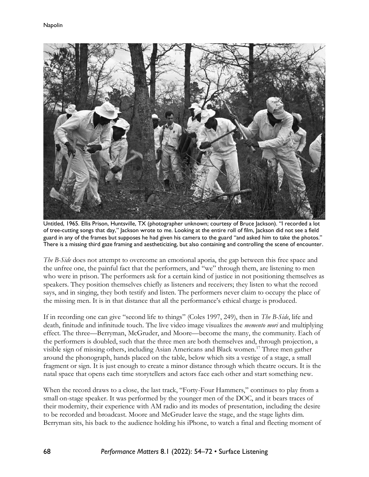

Untitled, 1965. Ellis Prison, Huntsville, TX (photographer unknown; courtesy of Bruce Jackson). "I recorded a lot of tree-cutting songs that day," Jackson wrote to me. Looking at the entire roll of film, Jackson did not see a field guard in any of the frames but supposes he had given his camera to the guard "and asked him to take the photos." There is a missing third gaze framing and aestheticizing, but also containing and controlling the scene of encounter.

*The B-Side* does not attempt to overcome an emotional aporia, the gap between this free space and the unfree one, the painful fact that the performers, and "we" through them, are listening to men who were in prison. The performers ask for a certain kind of justice in not positioning themselves as speakers. They position themselves chiefly as listeners and receivers; they listen to what the record says, and in singing, they both testify and listen. The performers never claim to occupy the place of the missing men. It is in that distance that all the performance's ethical charge is produced.

If in recording one can give "second life to things" (Coles 1997, 249), then in *The B-Side*, life and death, finitude and infinitude touch. The live video image visualizes the *memento mori* and multiplying effect. The three—Berryman, McGruder, and Moore—become the many, the community. Each of the performers is doubled, such that the three men are both themselves and, through projection, a visible sign of missing others, including Asian Americans and Black women.<sup>17</sup> Three men gather around the phonograph, hands placed on the table, below which sits a vestige of a stage, a small fragment or sign. It is just enough to create a minor distance through which theatre occurs. It is the natal space that opens each time storytellers and actors face each other and start something new.

When the record draws to a close, the last track, "Forty-Four Hammers," continues to play from a small on-stage speaker. It was performed by the younger men of the DOC, and it bears traces of their modernity, their experience with AM radio and its modes of presentation, including the desire to be recorded and broadcast. Moore and McGruder leave the stage, and the stage lights dim. Berryman sits, his back to the audience holding his iPhone, to watch a final and fleeting moment of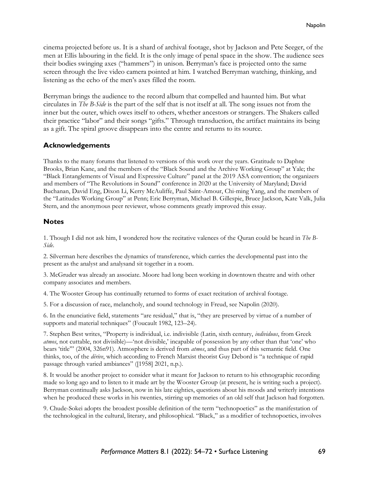cinema projected before us. It is a shard of archival footage, shot by Jackson and Pete Seeger, of the men at Ellis labouring in the field. It is the only image of penal space in the show. The audience sees their bodies swinging axes ("hammers") in unison. Berryman's face is projected onto the same screen through the live video camera pointed at him. I watched Berryman watching, thinking, and listening as the echo of the men's axes filled the room.

Berryman brings the audience to the record album that compelled and haunted him. But what circulates in *The B-Side* is the part of the self that is not itself at all. The song issues not from the inner but the outer, which owes itself to others, whether ancestors or strangers. The Shakers called their practice "labor" and their songs "gifts." Through transduction, the artifact maintains its being as a gift. The spiral groove disappears into the centre and returns to its source.

#### **Acknowledgements**

Thanks to the many forums that listened to versions of this work over the years. Gratitude to Daphne Brooks, Brian Kane, and the members of the "Black Sound and the Archive Working Group" at Yale; the "Black Entanglements of Visual and Expressive Culture" panel at the 2019 ASA convention; the organizers and members of "The Revolutions in Sound" conference in 2020 at the University of Maryland; David Buchanan, David Eng, Dixon Li, Kerry McAuliffe, Paul Saint-Amour, Chi-ming Yang, and the members of the "Latitudes Working Group" at Penn; Eric Berryman, Michael B. Gillespie, Bruce Jackson, Kate Valk, Julia Stern, and the anonymous peer reviewer, whose comments greatly improved this essay.

#### **Notes**

1. Though I did not ask him, I wondered how the recitative valences of the Quran could be heard in *The B-Side*.

2. Silverman here describes the dynamics of transference, which carries the developmental past into the present as the analyst and analysand sit together in a room.

3. McGruder was already an associate. Moore had long been working in downtown theatre and with other company associates and members.

4. The Wooster Group has continually returned to forms of exact recitation of archival footage.

5. For a discussion of race, melancholy, and sound technology in Freud, see Napolin (2020).

6. In the enunciative field, statements "are residual," that is, "they are preserved by virtue of a number of supports and material techniques" (Foucault 1982, 123–24).

7. Stephen Best writes, "Property is individual, i.e. indivisible (Latin, sixth century, *individuus*, from Greek *atmos*, not cuttable, not divisible)—'not divisible,' incapable of possession by any other than that 'one' who bears 'title'" (2004, 326n91). Atmosphere is derived from *atmos*, and thus part of this semantic field. One thinks, too, of the *dérive*, which according to French Marxist theorist Guy Debord is "a technique of rapid passage through varied ambiances" ([1958] 2021, n.p.).

8. It would be another project to consider what it meant for Jackson to return to his ethnographic recording made so long ago and to listen to it made art by the Wooster Group (at present, he is writing such a project). Berryman continually asks Jackson, now in his late eighties, questions about his moods and writerly intentions when he produced these works in his twenties, stirring up memories of an old self that Jackson had forgotten.

9. Chude-Sokei adopts the broadest possible definition of the term "technopoetics" as the manifestation of the technological in the cultural, literary, and philosophical. "Black," as a modifier of technopoetics, involves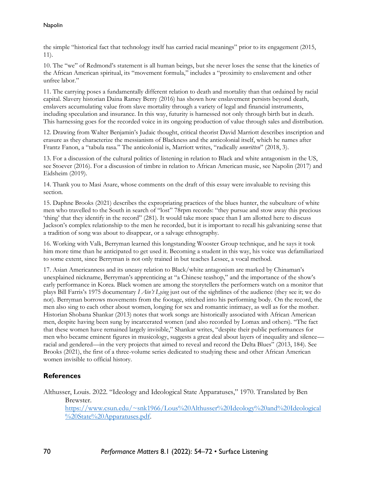the simple "historical fact that technology itself has carried racial meanings" prior to its engagement (2015, 11).

10. The "we" of Redmond's statement is all human beings, but she never loses the sense that the kinetics of the African American spiritual, its "movement formula," includes a "proximity to enslavement and other unfree labor."

11. The carrying poses a fundamentally different relation to death and mortality than that ordained by racial capital. Slavery historian Daina Ramey Berry (2016) has shown how enslavement persists beyond death, enslavers accumulating value from slave mortality through a variety of legal and financial instruments, including speculation and insurance. In this way, futurity is harnessed not only through birth but in death. This harnessing goes for the recorded voice in its ongoing production of value through sales and distribution.

12. Drawing from Walter Benjamin's Judaic thought, critical theorist David Marriott describes inscription and erasure as they characterize the messianism of Blackness and the anticolonial itself, which he names after Frantz Fanon, a "tabula rasa." The anticolonial is, Marriott writes, "radically *unwritten*" (2018, 3).

13. For a discussion of the cultural politics of listening in relation to Black and white antagonism in the US, see Stoever (2016). For a discussion of timbre in relation to African American music, see Napolin (2017) and Eidsheim (2019).

14. Thank you to Masi Asare, whose comments on the draft of this essay were invaluable to revising this section.

15. Daphne Brooks (2021) describes the expropriating practices of the blues hunter, the subculture of white men who travelled to the South in search of "lost" 78rpm records: "they pursue and stow away this precious 'thing' that they identify in the record" (281). It would take more space than I am allotted here to discuss Jackson's complex relationship to the men he recorded, but it is important to recall his galvanizing sense that a tradition of song was about to disappear, or a salvage ethnography.

16. Working with Valk, Berryman learned this longstanding Wooster Group technique, and he says it took him more time than he anticipated to get used it. Becoming a student in this way, his voice was defamiliarized to some extent, since Berryman is not only trained in but teaches Lessec, a vocal method.

17. Asian Americanness and its uneasy relation to Black/white antagonism are marked by Chinaman's unexplained nickname, Berryman's apprenticing at "a Chinese teashop," and the importance of the show's early performance in Korea. Black women are among the storytellers the performers watch on a monitor that plays Bill Farris's 1975 documentary *I Ain't Lying* just out of the sightlines of the audience (they see it; we do not). Berryman borrows movements from the footage, stitched into his performing body. On the record, the men also sing to each other about women, longing for sex and romantic intimacy, as well as for the mother. Historian Shobana Shankar (2013) notes that work songs are historically associated with African American men, despite having been sung by incarcerated women (and also recorded by Lomax and others). "The fact that these women have remained largely invisible," Shankar writes, "despite their public performances for men who became eminent figures in musicology, suggests a great deal about layers of inequality and silence racial and gendered—in the very projects that aimed to reveal and record the Delta Blues" (2013, 184). See Brooks (2021), the first of a three-volume series dedicated to studying these and other African American women invisible to official history.

## **References**

Althusser, Louis. 2022. "Ideology and Ideological State Apparatuses," 1970. Translated by Ben Brewster. [https://www.csun.edu/~snk1966/Lous%20Althusser%20Ideology%20and%20Ideological](https://www.csun.edu/~snk1966/Lous%20Althusser%20Ideology%20and%20Ideological%20State%20Apparatuses.pdf)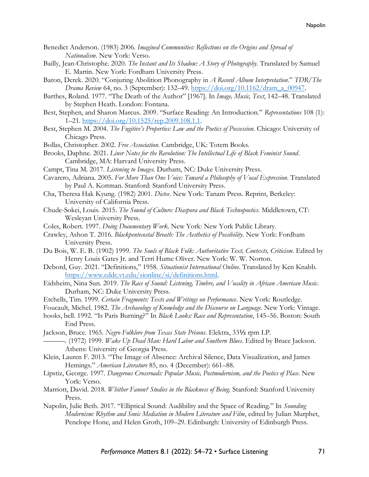- Benedict Anderson. (1983) 2006. *Imagined Communities: Reflections on the Origins and Spread of Nationalism*. New York: Verso.
- Bailly, Jean-Christophe. 2020. *The Instant and Its Shadow: A Story of Photography*. Translated by Samuel E. Martin. New York: Fordham University Press.
- Baron, Derek. 2020. "Conjuring Abolition Phonography in *A Record Album Interpretation*." *TDR/The Drama Review* 64, no. 3 (September): 132–49. [https://doi.org/10.1162/dram\\_a\\_00947.](https://doi.org/10.1162/dram_a_00947)
- Barthes, Roland. 1977. "The Death of the Author" [1967]. In *Image, Music, Text*, 142–48. Translated by Stephen Heath. London: Fontana.
- Best, Stephen, and Sharon Marcus. 2009. "Surface Reading: An Introduction." *Representations* 108 (1): 1–21. [https://doi.org/10.1525/rep.2009.108.1.1.](https://doi.org/10.1525/rep.2009.108.1.1)
- Best, Stephen M. 2004. *The Fugitive's Properties: Law and the Poetics of Possession*. Chicago: University of Chicago Press.
- Bollas, Christopher. 2002. *Free Association*. Cambridge, UK: Totem Books.
- Brooks, Daphne. 2021. *Liner Notes for the Revolution: The Intellectual Life of Black Feminist Sound*. Cambridge, MA: Harvard University Press.
- Campt, Tina M. 2017. *Listening to Images*. Durham, NC: Duke University Press.
- Cavarero, Adriana. 2005. *For More Than One Voice: Toward a Philosophy of Vocal Expression*. Translated by Paul A. Kottman. Stanford: Stanford University Press.
- Cha, Theresa Hak Kyung. (1982) 2001. *Dictee*. New York: Tanam Press. Reprint, Berkeley: University of California Press.
- Chude-Sokei, Louis. 2015. *The Sound of Culture: Diaspora and Black Technopoetics*. Middletown, CT: Wesleyan University Press.
- Coles, Robert. 1997. *Doing Documentary Work*. New York: New York Public Library.
- Crawley, Ashon T. 2016. *Blackpentecostal Breath: The Aesthetics of Possibility*. New York: Fordham University Press.
- Du Bois, W. E. B. (1902) 1999. *The Souls of Black Folk: Authoritative Text, Contexts, Criticism*. Edited by Henry Louis Gates Jr. and Terri Hume Oliver. New York: W. W. Norton.
- Debord, Guy. 2021. "Definitions," 1958. *Situationist International Online*. Translated by Ken Knabb. [https://www.cddc.vt.edu/sionline/si/definitions.html.](https://www.cddc.vt.edu/sionline/si/definitions.html)
- Eidsheim, Nina Sun. 2019. *The Race of Sound: Listening, Timbre, and Vocality in African American Music*. Durham, NC: Duke University Press.
- Etchells, Tim. 1999. *Certain Fragments: Texts and Writings on Performance*. New York: Routledge.
- Foucault, Michel. 1982. *The Archaeology of Knowledge and the Discourse on Language*. New York: Vintage.
- hooks, bell. 1992. "Is Paris Burning?" In *Black Looks: Race and Representation*, 145–56. Boston: South End Press.
- Jackson, Bruce. 1965. *Negro Folklore from Texas State Prisons*. Elektra, 33⅓ rpm LP.
- ———. (1972) 1999. *Wake Up Dead Man: Hard Labor and Southern Blues*. Edited by Bruce Jackson. Athens: University of Georgia Press.
- Klein, Lauren F. 2013. "The Image of Absence: Archival Silence, Data Visualization, and James Hemings." *American Literature* 85, no. 4 (December): 661–88.
- Lipstiz, George. 1997. *Dangerous Crossroads: Popular Music, Postmodernism, and the Poetics of Place*. New York: Verso.
- Marriott, David. 2018. *Whither Fanon? Studies in the Blackness of Being*. Stanford: Stanford University Press.
- Napolin, Julie Beth. 2017. "Elliptical Sound: Audibility and the Space of Reading." In *Sounding Modernism: Rhythm and Sonic Mediation in Modern Literature and Film*, edited by Julian Murphet, Penelope Hone, and Helen Groth, 109–29. Edinburgh: University of Edinburgh Press.